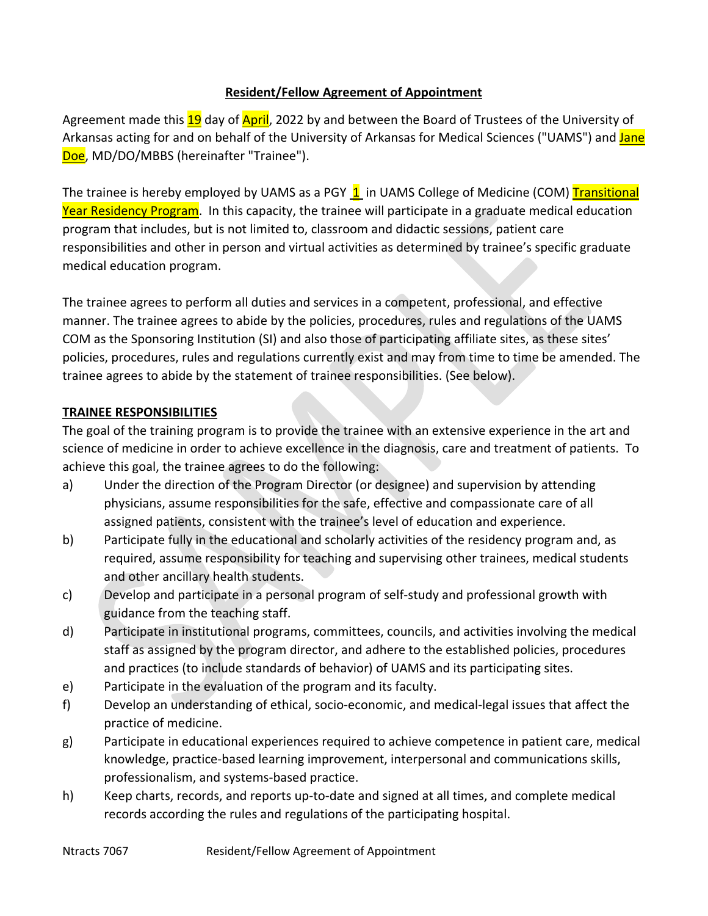### **Resident/Fellow Agreement of Appointment**

Agreement made this 19 day of April, 2022 by and between the Board of Trustees of the University of Arkansas acting for and on behalf of the University of Arkansas for Medical Sciences ("UAMS") and Jane Doe, MD/DO/MBBS (hereinafter "Trainee").

The trainee is hereby employed by UAMS as a PGY 1 in UAMS College of Medicine (COM) Transitional Year Residency Program. In this capacity, the trainee will participate in a graduate medical education program that includes, but is not limited to, classroom and didactic sessions, patient care responsibilities and other in person and virtual activities as determined by trainee's specific graduate medical education program.

The trainee agrees to perform all duties and services in a competent, professional, and effective manner. The trainee agrees to abide by the policies, procedures, rules and regulations of the UAMS COM as the Sponsoring Institution (SI) and also those of participating affiliate sites, as these sites' policies, procedures, rules and regulations currently exist and may from time to time be amended. The trainee agrees to abide by the statement of trainee responsibilities. (See below).

### **TRAINEE RESPONSIBILITIES**

The goal of the training program is to provide the trainee with an extensive experience in the art and science of medicine in order to achieve excellence in the diagnosis, care and treatment of patients. To achieve this goal, the trainee agrees to do the following:

- a) Under the direction of the Program Director (or designee) and supervision by attending physicians, assume responsibilities for the safe, effective and compassionate care of all assigned patients, consistent with the trainee's level of education and experience.
- b) Participate fully in the educational and scholarly activities of the residency program and, as required, assume responsibility for teaching and supervising other trainees, medical students and other ancillary health students.
- c) Develop and participate in a personal program of self-study and professional growth with guidance from the teaching staff.
- d) Participate in institutional programs, committees, councils, and activities involving the medical staff as assigned by the program director, and adhere to the established policies, procedures and practices (to include standards of behavior) of UAMS and its participating sites.
- e) Participate in the evaluation of the program and its faculty.
- f) Develop an understanding of ethical, socio-economic, and medical-legal issues that affect the practice of medicine.
- g) Participate in educational experiences required to achieve competence in patient care, medical knowledge, practice-based learning improvement, interpersonal and communications skills, professionalism, and systems-based practice.
- h) Keep charts, records, and reports up-to-date and signed at all times, and complete medical records according the rules and regulations of the participating hospital.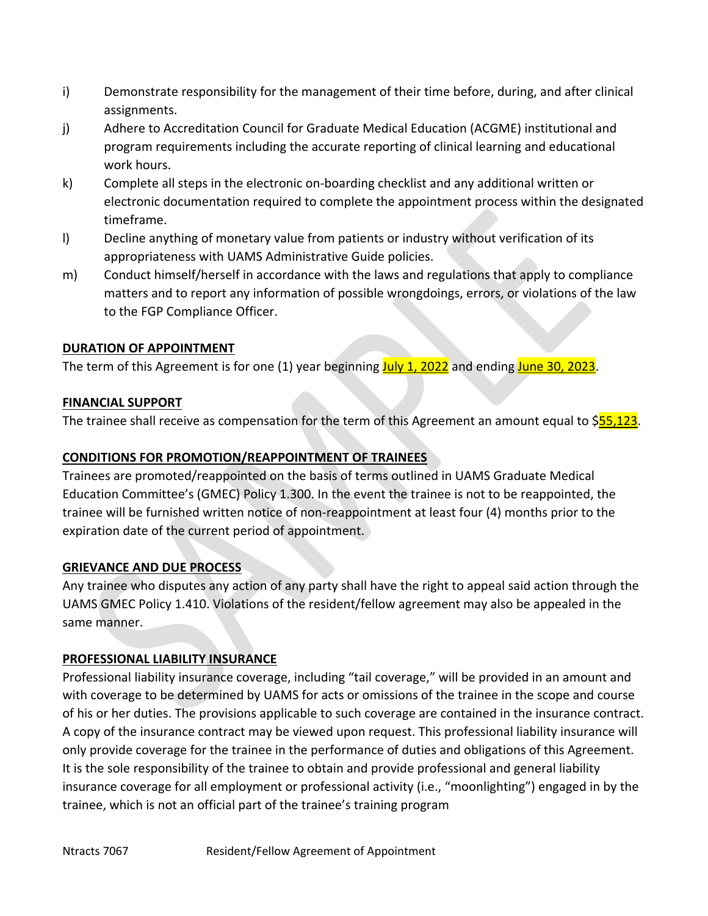- i) Demonstrate responsibility for the management of their time before, during, and after clinical assignments.
- j) Adhere to Accreditation Council for Graduate Medical Education (ACGME) institutional and program requirements including the accurate reporting of clinical learning and educational work hours.
- k) Complete all steps in the electronic on-boarding checklist and any additional written or electronic documentation required to complete the appointment process within the designated timeframe.
- l) Decline anything of monetary value from patients or industry without verification of its appropriateness with UAMS Administrative Guide policies.
- m) Conduct himself/herself in accordance with the laws and regulations that apply to compliance matters and to report any information of possible wrongdoings, errors, or violations of the law to the FGP Compliance Officer.

# **DURATION OF APPOINTMENT**

The term of this Agreement is for one (1) year beginning **July 1, 2022** and ending June 30, 2023.

# **FINANCIAL SUPPORT**

The trainee shall receive as compensation for the term of this Agreement an amount equal to  $$55,123$ .

# **CONDITIONS FOR PROMOTION/REAPPOINTMENT OF TRAINEES**

Trainees are promoted/reappointed on the basis of terms outlined in UAMS Graduate Medical Education Committee's (GMEC) Policy 1.300. In the event the trainee is not to be reappointed, the trainee will be furnished written notice of non-reappointment at least four (4) months prior to the expiration date of the current period of appointment.

### **GRIEVANCE AND DUE PROCESS**

Any trainee who disputes any action of any party shall have the right to appeal said action through the UAMS GMEC Policy 1.410. Violations of the resident/fellow agreement may also be appealed in the same manner.

### **PROFESSIONAL LIABILITY INSURANCE**

Professional liability insurance coverage, including "tail coverage," will be provided in an amount and with coverage to be determined by UAMS for acts or omissions of the trainee in the scope and course of his or her duties. The provisions applicable to such coverage are contained in the insurance contract. A copy of the insurance contract may be viewed upon request. This professional liability insurance will only provide coverage for the trainee in the performance of duties and obligations of this Agreement. It is the sole responsibility of the trainee to obtain and provide professional and general liability insurance coverage for all employment or professional activity (i.e., "moonlighting") engaged in by the trainee, which is not an official part of the trainee's training program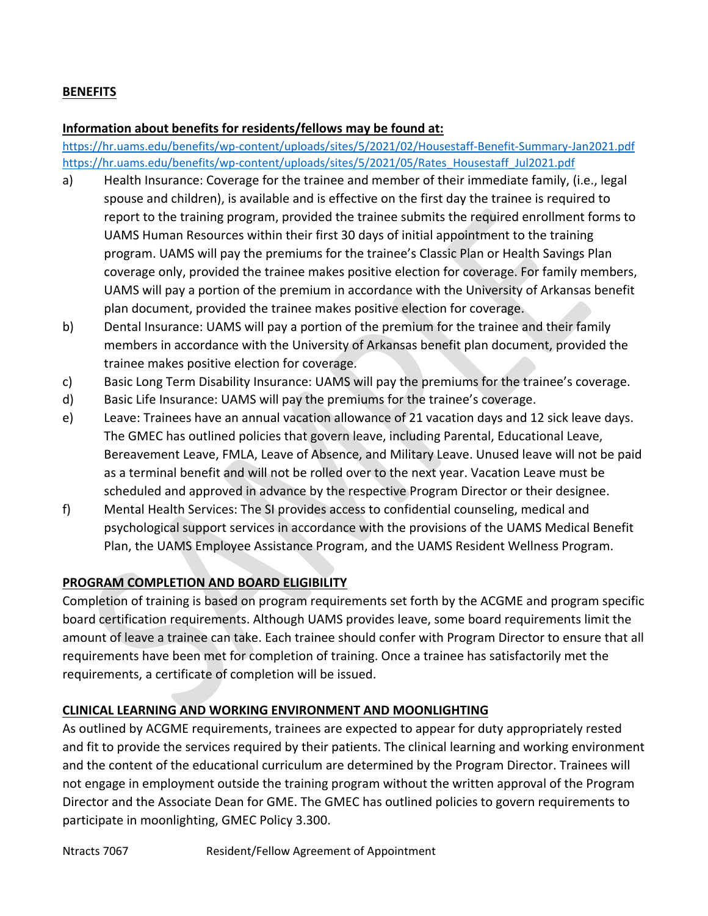### **BENEFITS**

#### **Information about benefits for residents/fellows may be found at:**

<https://hr.uams.edu/benefits/wp-content/uploads/sites/5/2021/02/Housestaff-Benefit-Summary-Jan2021.pdf> [https://hr.uams.edu/benefits/wp-content/uploads/sites/5/2021/05/Rates\\_Housestaff\\_Jul2021.pdf](https://hr.uams.edu/benefits/wp-content/uploads/sites/5/2021/05/Rates_Housestaff_Jul2021.pdf)

- a) Health Insurance: Coverage for the trainee and member of their immediate family, (i.e., legal spouse and children), is available and is effective on the first day the trainee is required to report to the training program, provided the trainee submits the required enrollment forms to UAMS Human Resources within their first 30 days of initial appointment to the training program. UAMS will pay the premiums for the trainee's Classic Plan or Health Savings Plan coverage only, provided the trainee makes positive election for coverage. For family members, UAMS will pay a portion of the premium in accordance with the University of Arkansas benefit plan document, provided the trainee makes positive election for coverage.
- b) Dental Insurance: UAMS will pay a portion of the premium for the trainee and their family members in accordance with the University of Arkansas benefit plan document, provided the trainee makes positive election for coverage.
- c) Basic Long Term Disability Insurance: UAMS will pay the premiums for the trainee's coverage.
- d) Basic Life Insurance: UAMS will pay the premiums for the trainee's coverage.
- e) Leave: Trainees have an annual vacation allowance of 21 vacation days and 12 sick leave days. The GMEC has outlined policies that govern leave, including Parental, Educational Leave, Bereavement Leave, FMLA, Leave of Absence, and Military Leave. Unused leave will not be paid as a terminal benefit and will not be rolled over to the next year. Vacation Leave must be scheduled and approved in advance by the respective Program Director or their designee.
- f) Mental Health Services: The SI provides access to confidential counseling, medical and psychological support services in accordance with the provisions of the UAMS Medical Benefit Plan, the UAMS Employee Assistance Program, and the UAMS Resident Wellness Program.

### **PROGRAM COMPLETION AND BOARD ELIGIBILITY**

Completion of training is based on program requirements set forth by the ACGME and program specific board certification requirements. Although UAMS provides leave, some board requirements limit the amount of leave a trainee can take. Each trainee should confer with Program Director to ensure that all requirements have been met for completion of training. Once a trainee has satisfactorily met the requirements, a certificate of completion will be issued.

### **CLINICAL LEARNING AND WORKING ENVIRONMENT AND MOONLIGHTING**

As outlined by ACGME requirements, trainees are expected to appear for duty appropriately rested and fit to provide the services required by their patients. The clinical learning and working environment and the content of the educational curriculum are determined by the Program Director. Trainees will not engage in employment outside the training program without the written approval of the Program Director and the Associate Dean for GME. The GMEC has outlined policies to govern requirements to participate in moonlighting, GMEC Policy 3.300.